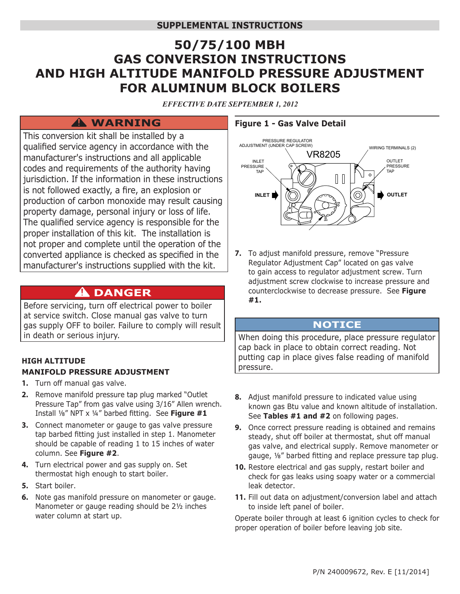# **50/75/100 MBH GAS CONVERSION INSTRUCTIONS AND HIGH ALTITUDE MANIFOLD PRESSURE ADJUSTMENT FOR ALUMINUM BLOCK BOILERS**

*EFFECTIVE DATE SEPTEMBER 1, 2012*

# **WARNING !**

This conversion kit shall be installed by a qualified service agency in accordance with the manufacturer's instructions and all applicable codes and requirements of the authority having jurisdiction. If the information in these instructions is not followed exactly, a fire, an explosion or production of carbon monoxide may result causing property damage, personal injury or loss of life. The qualified service agency is responsible for the proper installation of this kit. The installation is not proper and complete until the operation of the converted appliance is checked as specified in the manufacturer's instructions supplied with the kit.

# $\hat{\mathbf{A}}$  DANGER

Before servicing, turn off electrical power to boiler at service switch. Close manual gas valve to turn gas supply OFF to boiler. Failure to comply will result in death or serious injury.

## **HIGH ALTITUDE MANIFOLD PRESSURE ADJUSTMENT**

- **1.** Turn off manual gas valve.
- **2.** Remove manifold pressure tap plug marked "Outlet Pressure Tap" from gas valve using 3/16" Allen wrench. Install ⅛" NPT x ¼" barbed fitting. See **Figure #1**
- **3.** Connect manometer or gauge to gas valve pressure tap barbed fitting just installed in step 1. Manometer should be capable of reading 1 to 15 inches of water column. See **Figure #2**.
- **4.** Turn electrical power and gas supply on. Set thermostat high enough to start boiler.
- **5.** Start boiler.
- **6.** Note gas manifold pressure on manometer or gauge. Manometer or gauge reading should be 2½ inches water column at start up.

### **Figure 1 - Gas Valve Detail**



**7.** To adjust manifold pressure, remove "Pressure Regulator Adjustment Cap" located on gas valve to gain access to regulator adjustment screw. Turn adjustment screw clockwise to increase pressure and counterclockwise to decrease pressure. See **Figure #1.**

### **NOTICE**

When doing this procedure, place pressure regulator cap back in place to obtain correct reading. Not putting cap in place gives false reading of manifold pressure.

- **8.** Adjust manifold pressure to indicated value using known gas Btu value and known altitude of installation. See **Tables #1 and #2** on following pages.
- **9.** Once correct pressure reading is obtained and remains steady, shut off boiler at thermostat, shut off manual gas valve, and electrical supply. Remove manometer or gauge, ⅛" barbed fitting and replace pressure tap plug.
- **10.** Restore electrical and gas supply, restart boiler and check for gas leaks using soapy water or a commercial leak detector.
- **11.** Fill out data on adjustment/conversion label and attach to inside left panel of boiler.

Operate boiler through at least 6 ignition cycles to check for proper operation of boiler before leaving job site.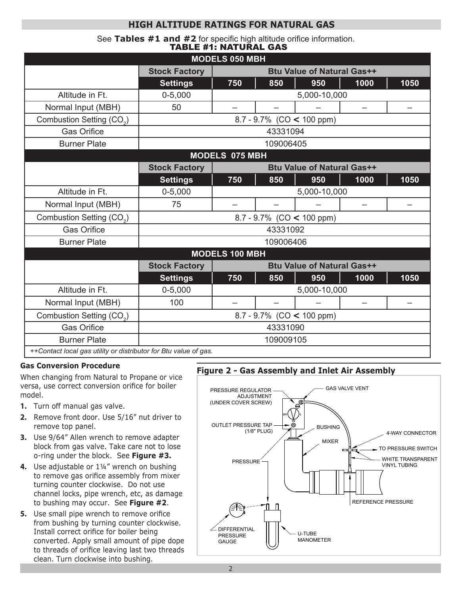# **HIGH ALTITUDE RATINGS FOR NATURAL GAS**

See **Tables #1 and #2** for specific high altitude orifice information. TABLE #1: NATURAL GAS

| <b>MODELS 050 MBH</b>                                            |                                                           |                                   |     |     |                          |      |  |  |  |  |
|------------------------------------------------------------------|-----------------------------------------------------------|-----------------------------------|-----|-----|--------------------------|------|--|--|--|--|
|                                                                  | <b>Stock Factory</b>                                      | <b>Btu Value of Natural Gas++</b> |     |     |                          |      |  |  |  |  |
|                                                                  | <b>Settings</b>                                           | 750                               | 850 | 950 | 1000                     | 1050 |  |  |  |  |
| Altitude in Ft.                                                  | $0 - 5,000$                                               | 5,000-10,000                      |     |     |                          |      |  |  |  |  |
| Normal Input (MBH)                                               | 50                                                        | $\overline{\phantom{0}}$          |     |     | $\overline{\phantom{0}}$ |      |  |  |  |  |
| Combustion Setting (CO <sub>2</sub> )                            | 8.7 - 9.7% (CO < 100 ppm)                                 |                                   |     |     |                          |      |  |  |  |  |
| <b>Gas Orifice</b>                                               | 43331094                                                  |                                   |     |     |                          |      |  |  |  |  |
| <b>Burner Plate</b>                                              | 109006405                                                 |                                   |     |     |                          |      |  |  |  |  |
| <b>MODELS 075 MBH</b>                                            |                                                           |                                   |     |     |                          |      |  |  |  |  |
|                                                                  | <b>Stock Factory</b>                                      | <b>Btu Value of Natural Gas++</b> |     |     |                          |      |  |  |  |  |
|                                                                  | <b>Settings</b>                                           | 750                               | 850 | 950 | 1000                     | 1050 |  |  |  |  |
| Altitude in Ft.                                                  | $0 - 5,000$                                               | 5,000-10,000                      |     |     |                          |      |  |  |  |  |
| Normal Input (MBH)                                               | 75                                                        |                                   |     |     |                          |      |  |  |  |  |
| Combustion Setting (CO <sub>2</sub> )                            | 8.7 - 9.7% (CO < 100 ppm)                                 |                                   |     |     |                          |      |  |  |  |  |
| <b>Gas Orifice</b>                                               | 43331092                                                  |                                   |     |     |                          |      |  |  |  |  |
| <b>Burner Plate</b>                                              | 109006406                                                 |                                   |     |     |                          |      |  |  |  |  |
| <b>MODELS 100 MBH</b>                                            |                                                           |                                   |     |     |                          |      |  |  |  |  |
|                                                                  | <b>Stock Factory</b><br><b>Btu Value of Natural Gas++</b> |                                   |     |     |                          |      |  |  |  |  |
|                                                                  | <b>Settings</b>                                           | 750                               | 850 | 950 | 1000                     | 1050 |  |  |  |  |
| Altitude in Ft.                                                  | $0 - 5,000$                                               | 5,000-10,000                      |     |     |                          |      |  |  |  |  |
| Normal Input (MBH)                                               | 100                                                       |                                   |     |     |                          |      |  |  |  |  |
| Combustion Setting (CO <sub>2</sub> )                            | 8.7 - 9.7% (CO < 100 ppm)                                 |                                   |     |     |                          |      |  |  |  |  |
| <b>Gas Orifice</b>                                               | 43331090                                                  |                                   |     |     |                          |      |  |  |  |  |
| <b>Burner Plate</b>                                              | 109009105                                                 |                                   |     |     |                          |      |  |  |  |  |
| ++Contact local gas utility or distributor for Btu value of gas. |                                                           |                                   |     |     |                          |      |  |  |  |  |

#### **Gas Conversion Procedure**

When changing from Natural to Propane or vice versa, use correct conversion orifice for boiler model.

- **1.** Turn off manual gas valve.
- **2.** Remove front door. Use 5/16" nut driver to remove top panel.
- **3.** Use 9/64" Allen wrench to remove adapter block from gas valve. Take care not to lose o-ring under the block. See **Figure #3.**
- **4.** Use adjustable or 1¼" wrench on bushing to remove gas orifice assembly from mixer turning counter clockwise. Do not use channel locks, pipe wrench, etc, as damage to bushing may occur. See **Figure #2**.
- **5.** Use small pipe wrench to remove orifice from bushing by turning counter clockwise. Install correct orifice for boiler being converted. Apply small amount of pipe dope to threads of orifice leaving last two threads clean. Turn clockwise into bushing.

#### **Figure 2 - Gas Assembly and Inlet Air Assembly**